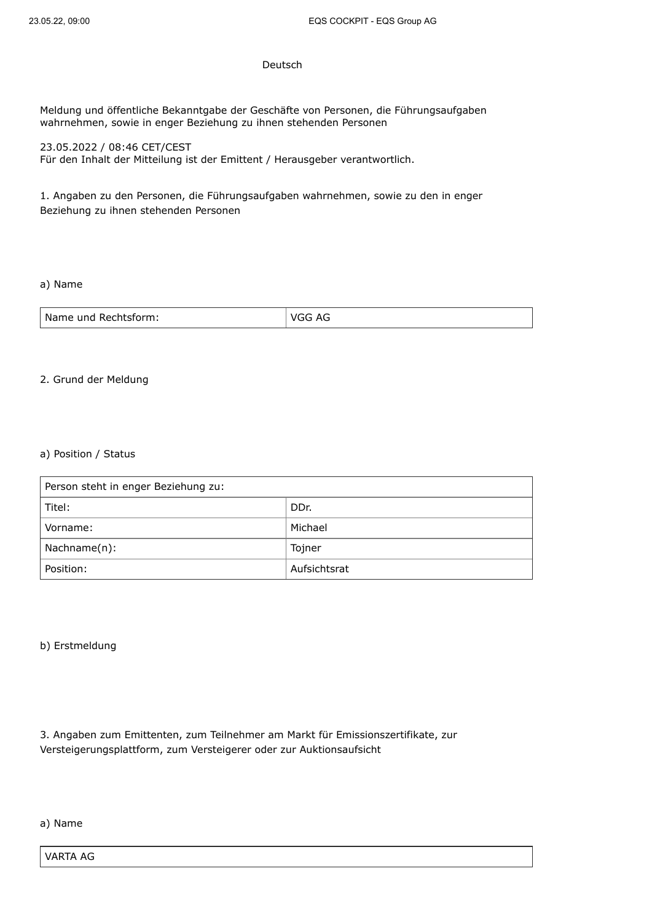## Deutsch

Meldung und öffentliche Bekanntgabe der Geschäfte von Personen, die Führungsaufgaben wahrnehmen, sowie in enger Beziehung zu ihnen stehenden Personen

23.05.2022 / 08:46 CET/CEST Für den Inhalt der Mitteilung ist der Emittent / Herausgeber verantwortlich.

1. Angaben zu den Personen, die Führungsaufgaben wahrnehmen, sowie zu den in enger Beziehung zu ihnen stehenden Personen

## a) Name

| l Name und Rechtsform: | AG |
|------------------------|----|
|                        |    |

## 2. Grund der Meldung

## a) Position / Status

| Person steht in enger Beziehung zu: |              |
|-------------------------------------|--------------|
| Titel:                              | DDr.         |
| Vorname:                            | Michael      |
| Nachname(n):                        | Tojner       |
| Position:                           | Aufsichtsrat |

## b) Erstmeldung

3. Angaben zum Emittenten, zum Teilnehmer am Markt für Emissionszertifikate, zur Versteigerungsplattform, zum Versteigerer oder zur Auktionsaufsicht

# a) Name

VARTA AG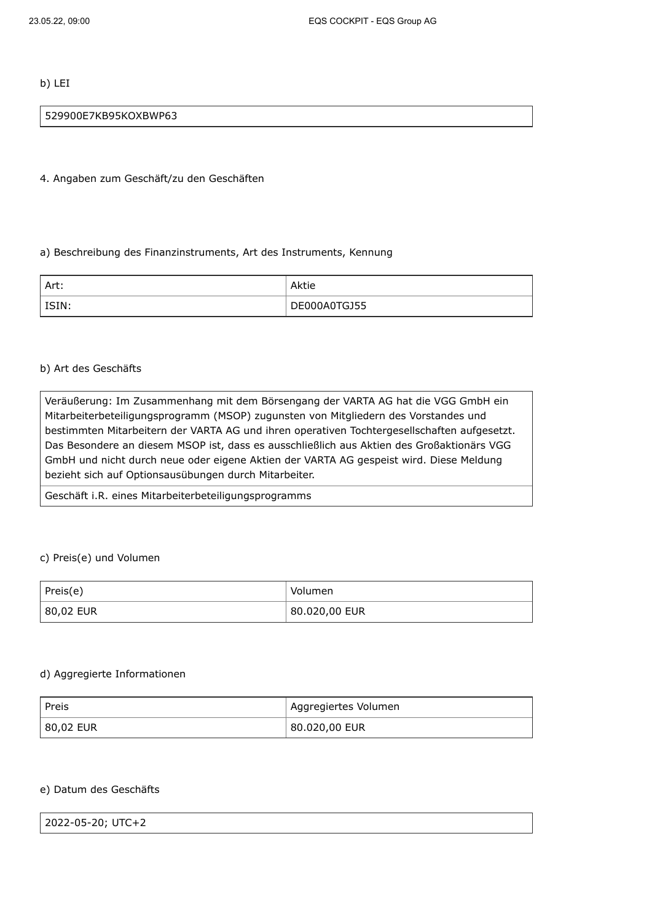b) LEI

### 529900E7KB95KOXBWP63

4. Angaben zum Geschäft/zu den Geschäften

#### a) Beschreibung des Finanzinstruments, Art des Instruments, Kennung

| l Art:             | Aktie        |
|--------------------|--------------|
| <sup>I</sup> ISIN: | DE000A0TGJ55 |

#### b) Art des Geschäfts

Veräußerung: Im Zusammenhang mit dem Börsengang der VARTA AG hat die VGG GmbH ein Mitarbeiterbeteiligungsprogramm (MSOP) zugunsten von Mitgliedern des Vorstandes und bestimmten Mitarbeitern der VARTA AG und ihren operativen Tochtergesellschaften aufgesetzt. Das Besondere an diesem MSOP ist, dass es ausschließlich aus Aktien des Großaktionärs VGG GmbH und nicht durch neue oder eigene Aktien der VARTA AG gespeist wird. Diese Meldung bezieht sich auf Optionsausübungen durch Mitarbeiter.

Geschäft i.R. eines Mitarbeiterbeteiligungsprogramms

## c) Preis(e) und Volumen

| Preis(e)  | Volumen       |
|-----------|---------------|
| 80,02 EUR | 80.020,00 EUR |

#### d) Aggregierte Informationen

| ' Preis   | l Aggregiertes Volumen |
|-----------|------------------------|
| 80,02 EUR | 80.020,00 EUR !        |

### e) Datum des Geschäfts

| 2022-05-20; UTC+2 |  |
|-------------------|--|
|                   |  |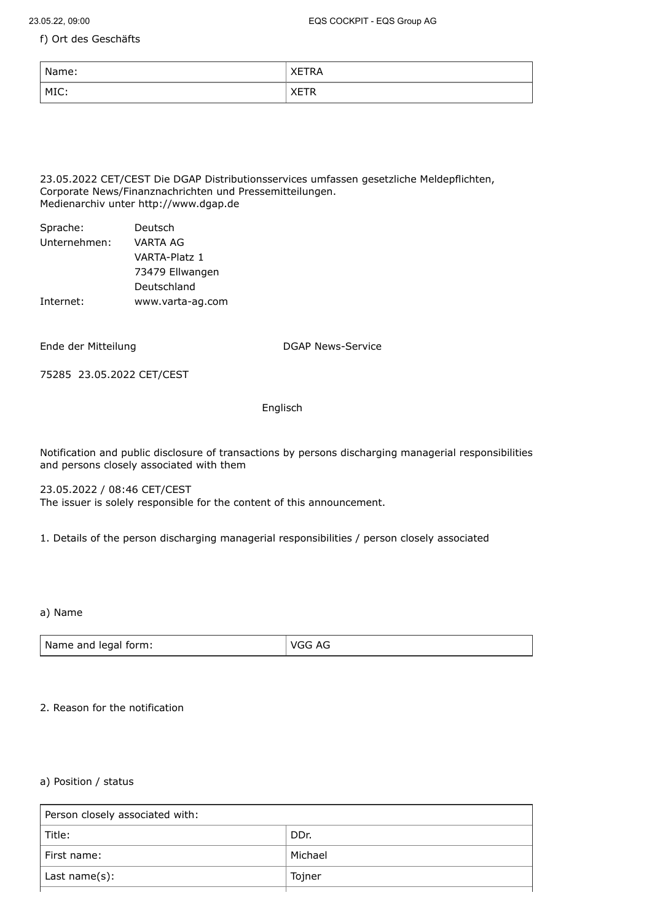f) Ort des Geschäfts

| Name: | 1 R.A<br>-<br>ᄾᄂ     |
|-------|----------------------|
| MIC:  | $- - -$<br>-<br>ᄾᄂᆝᅚ |

23.05.2022 CET/CEST Die DGAP Distributionsservices umfassen gesetzliche Meldepflichten, Corporate News/Finanznachrichten und Pressemitteilungen. Medienarchiv unter http://www.dgap.de

| Deutsch          |
|------------------|
| VARTA AG         |
| VARTA-Platz 1    |
| 73479 Ellwangen  |
| Deutschland      |
| www.varta-ag.com |
|                  |

Ende der Mitteilung and DGAP News-Service

75285 23.05.2022 CET/CEST

## Englisch

Notification and public disclosure of transactions by persons discharging managerial responsibilities and persons closely associated with them

23.05.2022 / 08:46 CET/CEST The issuer is solely responsible for the content of this announcement.

1. Details of the person discharging managerial responsibilities / person closely associated

a) Name

| VGG AG |
|--------|
|        |

## 2. Reason for the notification

## a) Position / status

| Person closely associated with: |         |
|---------------------------------|---------|
| Title:                          | DDr.    |
| l First name:                   | Michael |
| Last name(s):                   | Tojner  |
|                                 |         |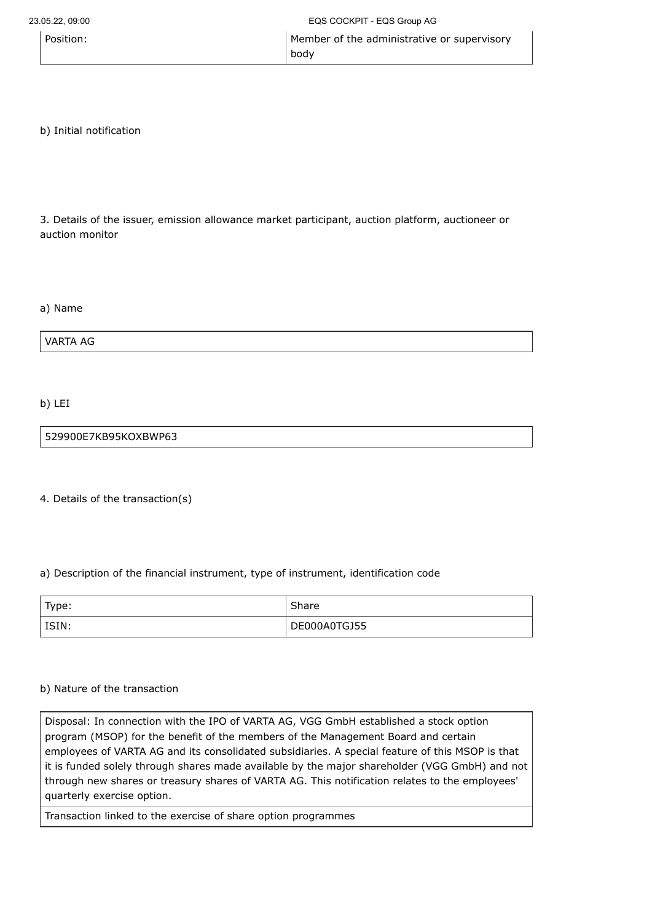| Position: | Member of the administrative or supervisory |
|-----------|---------------------------------------------|
|           | body                                        |

b) Initial notification

3. Details of the issuer, emission allowance market participant, auction platform, auctioneer or auction monitor

a) Name

VARTA AG

b) LEI

529900E7KB95KOXBWP63

4. Details of the transaction(s)

# a) Description of the financial instrument, type of instrument, identification code

| ' Type: | Share        |
|---------|--------------|
| l ISIN: | DE000A0TGJ55 |

# b) Nature of the transaction

Disposal: In connection with the IPO of VARTA AG, VGG GmbH established a stock option program (MSOP) for the benefit of the members of the Management Board and certain employees of VARTA AG and its consolidated subsidiaries. A special feature of this MSOP is that it is funded solely through shares made available by the major shareholder (VGG GmbH) and not through new shares or treasury shares of VARTA AG. This notification relates to the employees' quarterly exercise option.

Transaction linked to the exercise of share option programmes